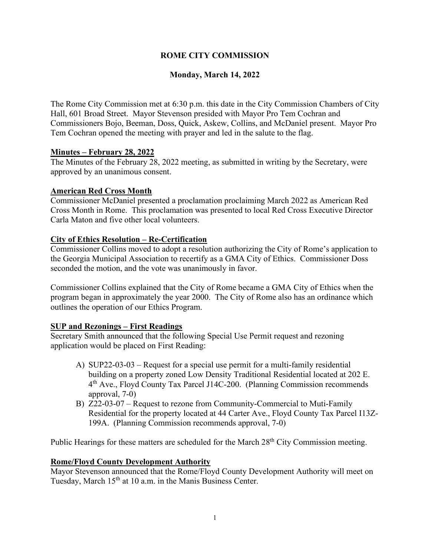# **ROME CITY COMMISSION**

# **Monday, March 14, 2022**

The Rome City Commission met at 6:30 p.m. this date in the City Commission Chambers of City Hall, 601 Broad Street. Mayor Stevenson presided with Mayor Pro Tem Cochran and Commissioners Bojo, Beeman, Doss, Quick, Askew, Collins, and McDaniel present. Mayor Pro Tem Cochran opened the meeting with prayer and led in the salute to the flag.

## **Minutes – February 28, 2022**

The Minutes of the February 28, 2022 meeting, as submitted in writing by the Secretary, were approved by an unanimous consent.

## **American Red Cross Month**

Commissioner McDaniel presented a proclamation proclaiming March 2022 as American Red Cross Month in Rome. This proclamation was presented to local Red Cross Executive Director Carla Maton and five other local volunteers.

## **City of Ethics Resolution – Re-Certification**

Commissioner Collins moved to adopt a resolution authorizing the City of Rome's application to the Georgia Municipal Association to recertify as a GMA City of Ethics. Commissioner Doss seconded the motion, and the vote was unanimously in favor.

Commissioner Collins explained that the City of Rome became a GMA City of Ethics when the program began in approximately the year 2000. The City of Rome also has an ordinance which outlines the operation of our Ethics Program.

# **SUP and Rezonings – First Readings**

Secretary Smith announced that the following Special Use Permit request and rezoning application would be placed on First Reading:

- A) SUP22-03-03 Request for a special use permit for a multi-family residential building on a property zoned Low Density Traditional Residential located at 202 E. 4th Ave., Floyd County Tax Parcel J14C-200. (Planning Commission recommends approval, 7-0)
- B) Z22-03-07 Request to rezone from Community-Commercial to Muti-Family Residential for the property located at 44 Carter Ave., Floyd County Tax Parcel I13Z-199A. (Planning Commission recommends approval, 7-0)

Public Hearings for these matters are scheduled for the March 28<sup>th</sup> City Commission meeting.

### **Rome/Floyd County Development Authority**

Mayor Stevenson announced that the Rome/Floyd County Development Authority will meet on Tuesday, March 15<sup>th</sup> at 10 a.m. in the Manis Business Center.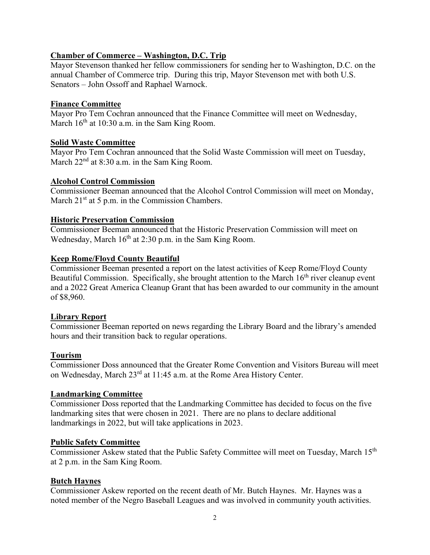## **Chamber of Commerce – Washington, D.C. Trip**

Mayor Stevenson thanked her fellow commissioners for sending her to Washington, D.C. on the annual Chamber of Commerce trip. During this trip, Mayor Stevenson met with both U.S. Senators – John Ossoff and Raphael Warnock.

### **Finance Committee**

Mayor Pro Tem Cochran announced that the Finance Committee will meet on Wednesday, March  $16<sup>th</sup>$  at 10:30 a.m. in the Sam King Room.

### **Solid Waste Committee**

Mayor Pro Tem Cochran announced that the Solid Waste Commission will meet on Tuesday, March  $22<sup>nd</sup>$  at 8:30 a.m. in the Sam King Room.

### **Alcohol Control Commission**

Commissioner Beeman announced that the Alcohol Control Commission will meet on Monday, March  $21<sup>st</sup>$  at 5 p.m. in the Commission Chambers.

### **Historic Preservation Commission**

Commissioner Beeman announced that the Historic Preservation Commission will meet on Wednesday, March  $16<sup>th</sup>$  at 2:30 p.m. in the Sam King Room.

## **Keep Rome/Floyd County Beautiful**

Commissioner Beeman presented a report on the latest activities of Keep Rome/Floyd County Beautiful Commission. Specifically, she brought attention to the March  $16<sup>th</sup>$  river cleanup event and a 2022 Great America Cleanup Grant that has been awarded to our community in the amount of \$8,960.

### **Library Report**

Commissioner Beeman reported on news regarding the Library Board and the library's amended hours and their transition back to regular operations.

### **Tourism**

Commissioner Doss announced that the Greater Rome Convention and Visitors Bureau will meet on Wednesday, March 23rd at 11:45 a.m. at the Rome Area History Center.

### **Landmarking Committee**

Commissioner Doss reported that the Landmarking Committee has decided to focus on the five landmarking sites that were chosen in 2021. There are no plans to declare additional landmarkings in 2022, but will take applications in 2023.

### **Public Safety Committee**

Commissioner Askew stated that the Public Safety Committee will meet on Tuesday, March 15<sup>th</sup> at 2 p.m. in the Sam King Room.

### **Butch Haynes**

Commissioner Askew reported on the recent death of Mr. Butch Haynes. Mr. Haynes was a noted member of the Negro Baseball Leagues and was involved in community youth activities.